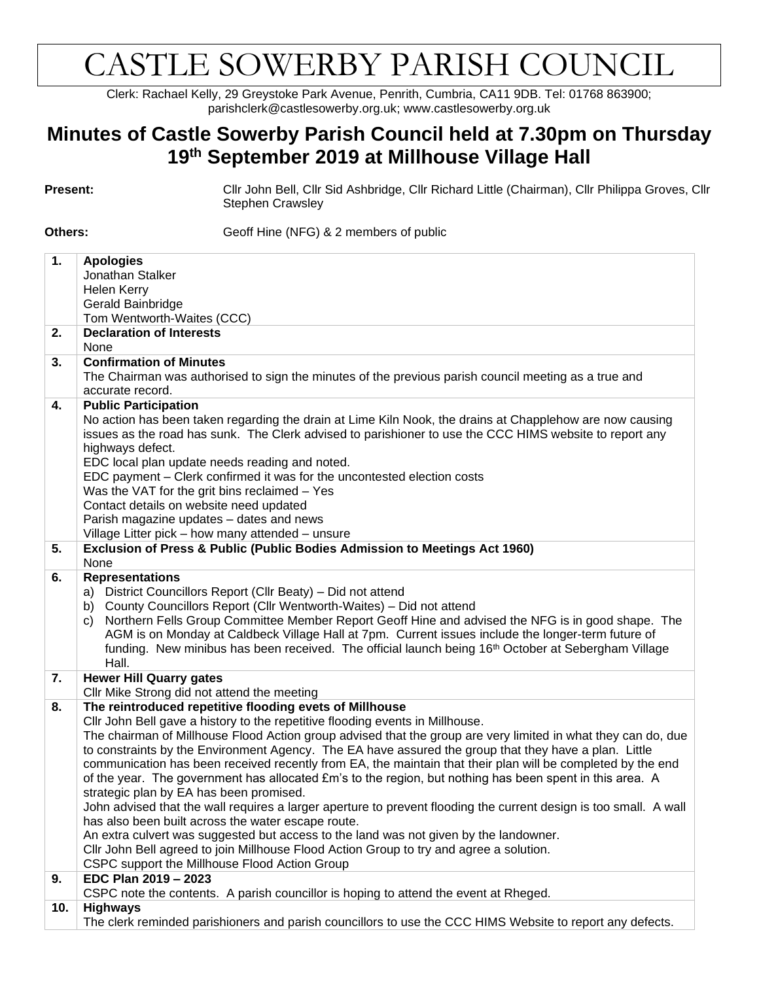## CASTLE SOWERBY PARISH COUNCIL

Clerk: Rachael Kelly, 29 Greystoke Park Avenue, Penrith, Cumbria, CA11 9DB. Tel: 01768 863900; parishclerk@castlesowerby.org.uk; www.castlesowerby.org.uk

## **Minutes of Castle Sowerby Parish Council held at 7.30pm on Thursday 19th September 2019 at Millhouse Village Hall**

**Present:** Cllr John Bell, Cllr Sid Ashbridge, Cllr Richard Little (Chairman), Cllr Philippa Groves, Cllr Stephen Crawsley

**Others:** Geoff Hine (NFG) & 2 members of public

| 1.  | <b>Apologies</b>                                                                                                                                                                                              |
|-----|---------------------------------------------------------------------------------------------------------------------------------------------------------------------------------------------------------------|
|     | Jonathan Stalker                                                                                                                                                                                              |
|     | Helen Kerry                                                                                                                                                                                                   |
|     | Gerald Bainbridge                                                                                                                                                                                             |
|     | Tom Wentworth-Waites (CCC)                                                                                                                                                                                    |
| 2.  | <b>Declaration of Interests</b>                                                                                                                                                                               |
|     | None                                                                                                                                                                                                          |
| 3.  | <b>Confirmation of Minutes</b>                                                                                                                                                                                |
|     | The Chairman was authorised to sign the minutes of the previous parish council meeting as a true and<br>accurate record.                                                                                      |
| 4.  | <b>Public Participation</b>                                                                                                                                                                                   |
|     | No action has been taken regarding the drain at Lime Kiln Nook, the drains at Chapplehow are now causing                                                                                                      |
|     | issues as the road has sunk. The Clerk advised to parishioner to use the CCC HIMS website to report any                                                                                                       |
|     | highways defect.                                                                                                                                                                                              |
|     | EDC local plan update needs reading and noted.                                                                                                                                                                |
|     | EDC payment - Clerk confirmed it was for the uncontested election costs                                                                                                                                       |
|     | Was the VAT for the grit bins reclaimed - Yes                                                                                                                                                                 |
|     | Contact details on website need updated                                                                                                                                                                       |
|     | Parish magazine updates - dates and news                                                                                                                                                                      |
|     | Village Litter pick - how many attended - unsure                                                                                                                                                              |
| 5.  | Exclusion of Press & Public (Public Bodies Admission to Meetings Act 1960)                                                                                                                                    |
|     | None                                                                                                                                                                                                          |
| 6.  | <b>Representations</b>                                                                                                                                                                                        |
|     | District Councillors Report (Cllr Beaty) - Did not attend<br>a)                                                                                                                                               |
|     | County Councillors Report (Cllr Wentworth-Waites) - Did not attend<br>b)                                                                                                                                      |
|     | Northern Fells Group Committee Member Report Geoff Hine and advised the NFG is in good shape. The<br>C)<br>AGM is on Monday at Caldbeck Village Hall at 7pm. Current issues include the longer-term future of |
|     | funding. New minibus has been received. The official launch being 16 <sup>th</sup> October at Sebergham Village                                                                                               |
|     | Hall.                                                                                                                                                                                                         |
| 7.  | <b>Hewer Hill Quarry gates</b>                                                                                                                                                                                |
|     | Cllr Mike Strong did not attend the meeting                                                                                                                                                                   |
| 8.  | The reintroduced repetitive flooding evets of Millhouse                                                                                                                                                       |
|     | Cllr John Bell gave a history to the repetitive flooding events in Millhouse.                                                                                                                                 |
|     | The chairman of Millhouse Flood Action group advised that the group are very limited in what they can do, due                                                                                                 |
|     | to constraints by the Environment Agency. The EA have assured the group that they have a plan. Little                                                                                                         |
|     | communication has been received recently from EA, the maintain that their plan will be completed by the end                                                                                                   |
|     | of the year. The government has allocated £m's to the region, but nothing has been spent in this area. A                                                                                                      |
|     | strategic plan by EA has been promised.                                                                                                                                                                       |
|     | John advised that the wall requires a larger aperture to prevent flooding the current design is too small. A wall                                                                                             |
|     | has also been built across the water escape route.                                                                                                                                                            |
|     | An extra culvert was suggested but access to the land was not given by the landowner.                                                                                                                         |
|     | Cllr John Bell agreed to join Millhouse Flood Action Group to try and agree a solution.                                                                                                                       |
|     | CSPC support the Millhouse Flood Action Group                                                                                                                                                                 |
| 9.  | EDC Plan 2019 - 2023<br>CSPC note the contents. A parish councillor is hoping to attend the event at Rheged.                                                                                                  |
| 10. | <b>Highways</b>                                                                                                                                                                                               |
|     | The clerk reminded parishioners and parish councillors to use the CCC HIMS Website to report any defects.                                                                                                     |
|     |                                                                                                                                                                                                               |